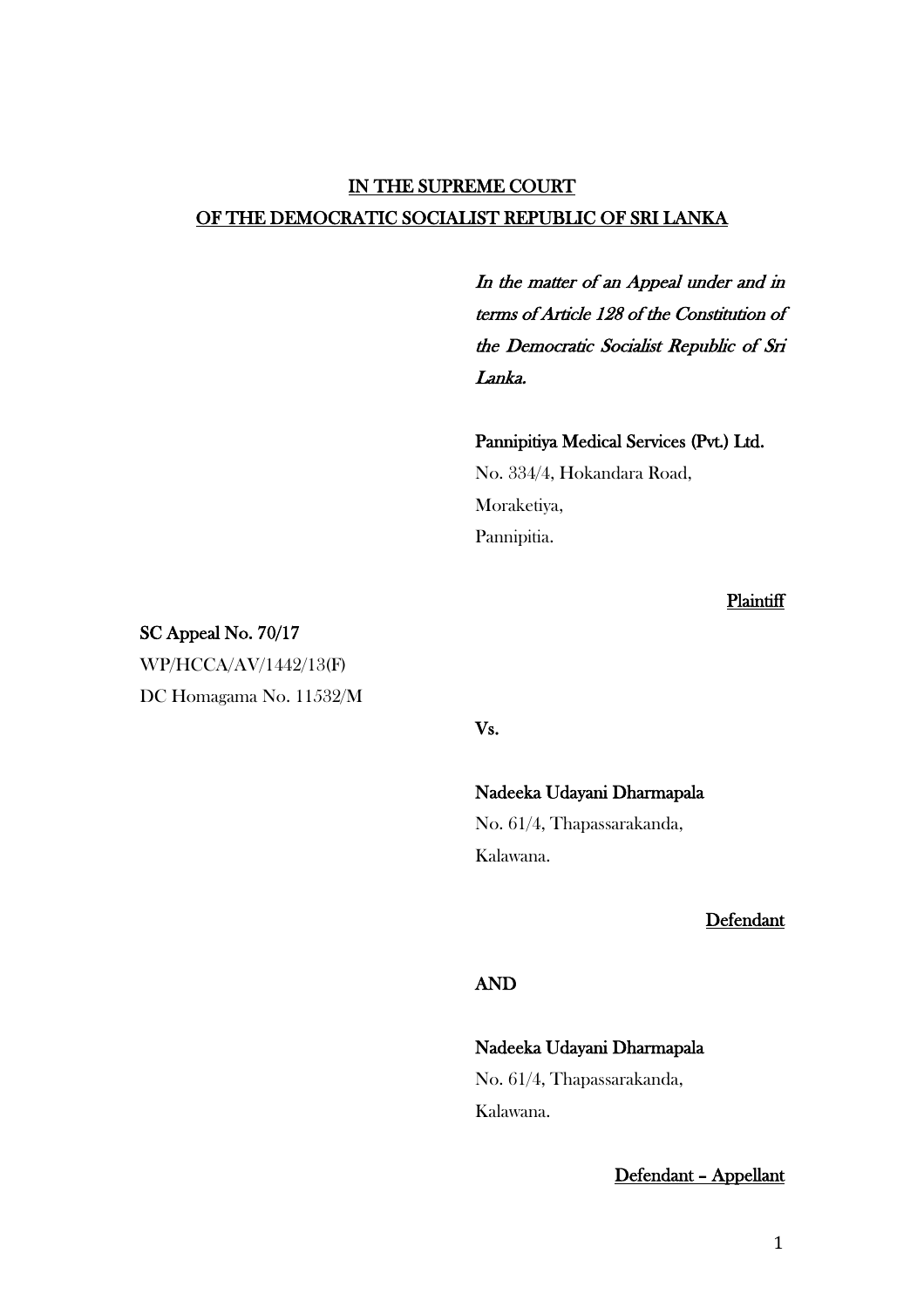# IN THE SUPREME COURT OF THE DEMOCRATIC SOCIALIST REPUBLIC OF SRI LANKA

In the matter of an Appeal under and in terms of Article 128 of the Constitution of the Democratic Socialist Republic of Sri Lanka.

Pannipitiya Medical Services (Pvt.) Ltd. No. 334/4, Hokandara Road, Moraketiya, Pannipitia.

**Plaintiff** 

SC Appeal No. 70/17 WP/HCCA/AV/1442/13(F) DC Homagama No. 11532/M

Vs.

### Nadeeka Udayani Dharmapala

No. 61/4, Thapassarakanda, Kalawana.

Defendant

## AND

# Nadeeka Udayani Dharmapala No. 61/4, Thapassarakanda, Kalawana.

Defendant – Appellant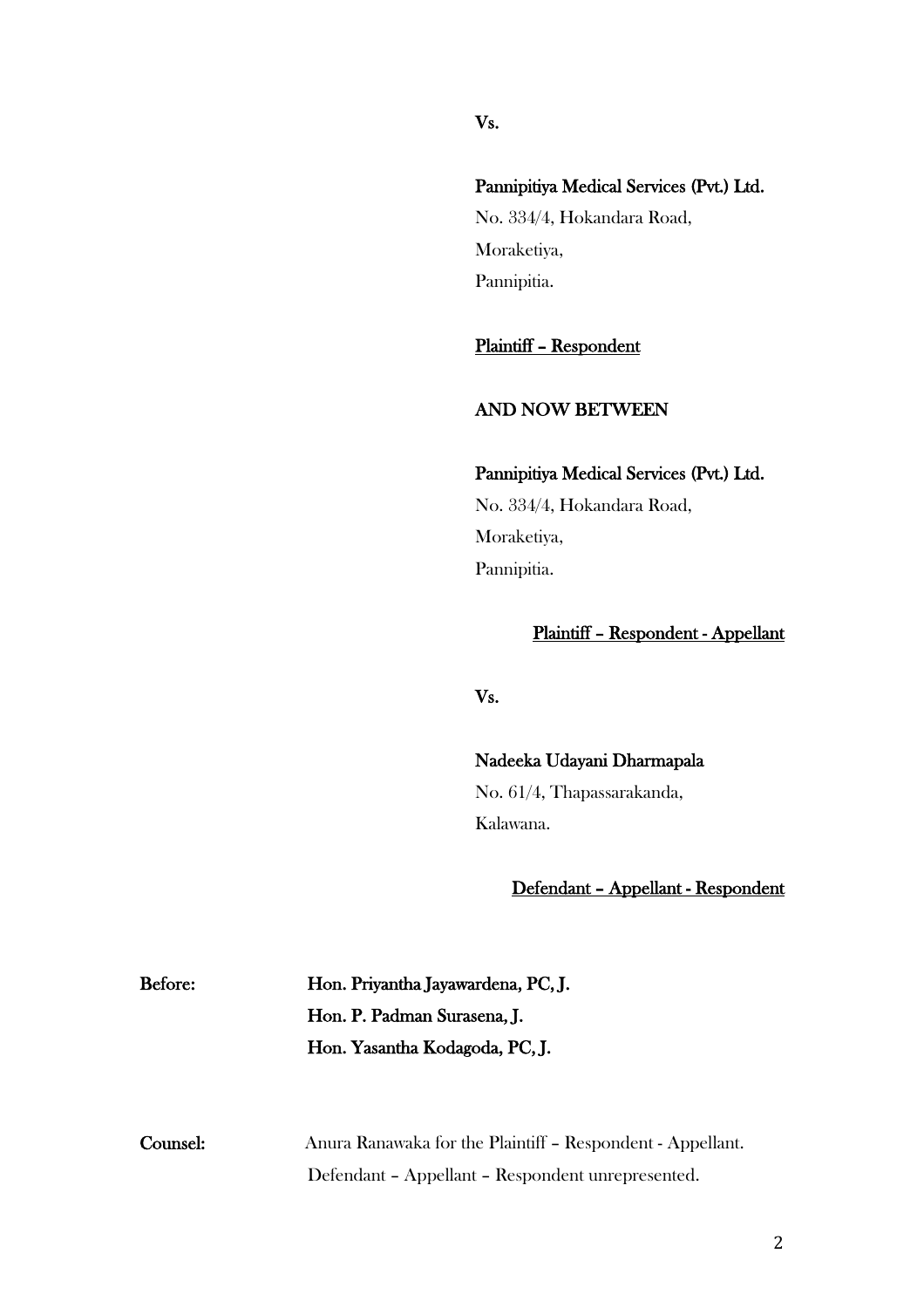### Vs.

# Pannipitiya Medical Services (Pvt.) Ltd.

No. 334/4, Hokandara Road, Moraketiya, Pannipitia.

## Plaintiff – Respondent

### AND NOW BETWEEN

Pannipitiya Medical Services (Pvt.) Ltd. No. 334/4, Hokandara Road, Moraketiya, Pannipitia.

## Plaintiff – Respondent - Appellant

# Vs.

Nadeeka Udayani Dharmapala No. 61/4, Thapassarakanda, Kalawana.

### Defendant – Appellant - Respondent

| <b>B</b> efore: | Hon. Priyantha Jayawardena, PC, J. |
|-----------------|------------------------------------|
|                 | Hon. P. Padman Surasena, J.        |
|                 | Hon. Yasantha Kodagoda, PC, J.     |

Before:

| Counsel: | Anura Ranawaka for the Plaintiff - Respondent - Appellant. |
|----------|------------------------------------------------------------|
|          | Defendant - Appellant - Respondent unrepresented.          |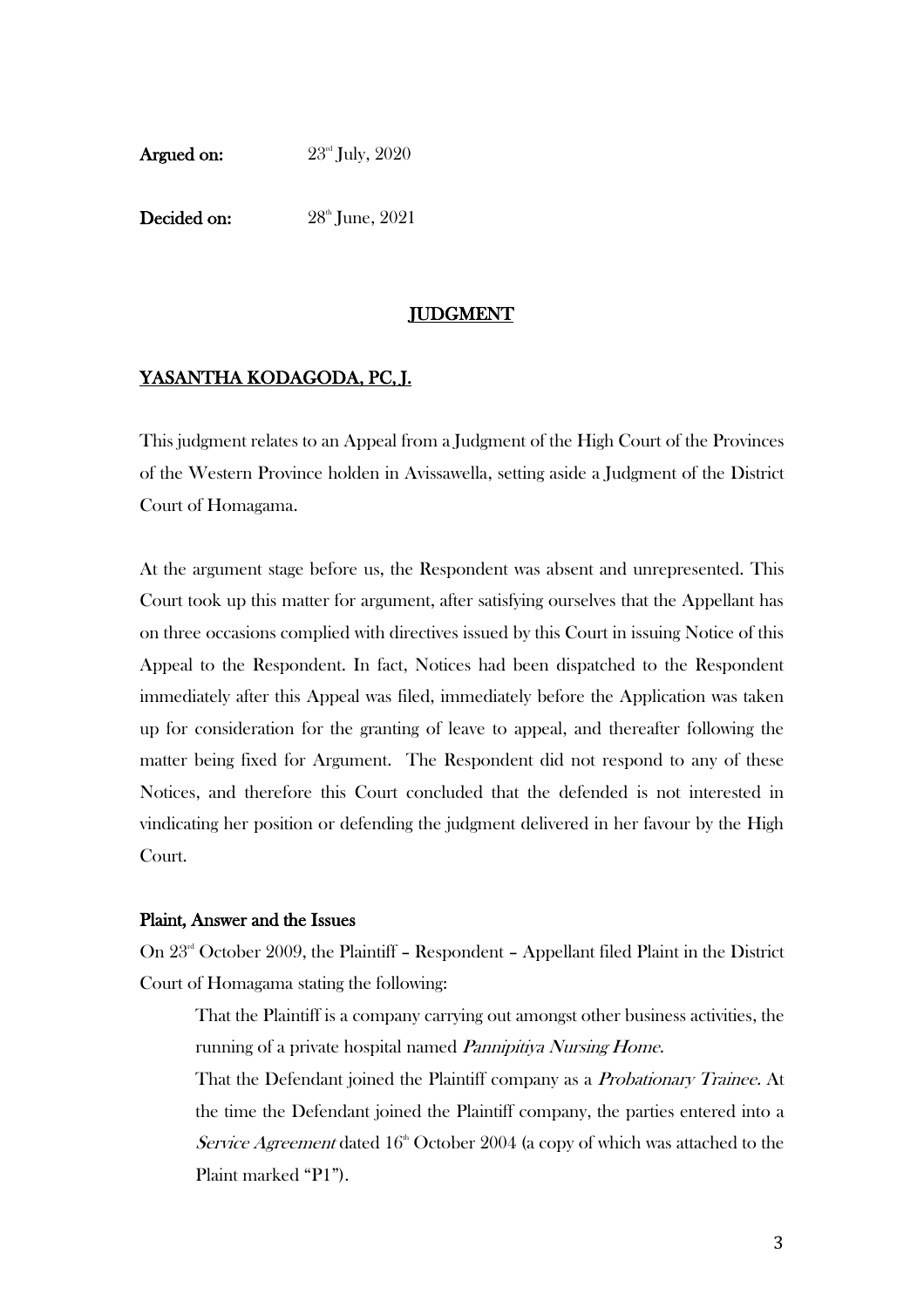Argued on:  $23<sup>rd</sup>$  July, 2020

Decided on: 28<sup>th</sup> June, 2021

### **JUDGMENT**

### YASANTHA KODAGODA, PC, J.

This judgment relates to an Appeal from a Judgment of the High Court of the Provinces of the Western Province holden in Avissawella, setting aside a Judgment of the District Court of Homagama.

At the argument stage before us, the Respondent was absent and unrepresented. This Court took up this matter for argument, after satisfying ourselves that the Appellant has on three occasions complied with directives issued by this Court in issuing Notice of this Appeal to the Respondent. In fact, Notices had been dispatched to the Respondent immediately after this Appeal was filed, immediately before the Application was taken up for consideration for the granting of leave to appeal, and thereafter following the matter being fixed for Argument. The Respondent did not respond to any of these Notices, and therefore this Court concluded that the defended is not interested in vindicating her position or defending the judgment delivered in her favour by the High Court.

#### Plaint, Answer and the Issues

On 23rd October 2009, the Plaintiff – Respondent – Appellant filed Plaint in the District Court of Homagama stating the following:

That the Plaintiff is a company carrying out amongst other business activities, the running of a private hospital named *Pannipitiya Nursing Home*.

That the Defendant joined the Plaintiff company as a Probationary Trainee. At the time the Defendant joined the Plaintiff company, the parties entered into a Service Agreement dated  $16<sup>th</sup>$  October 2004 (a copy of which was attached to the Plaint marked "P1").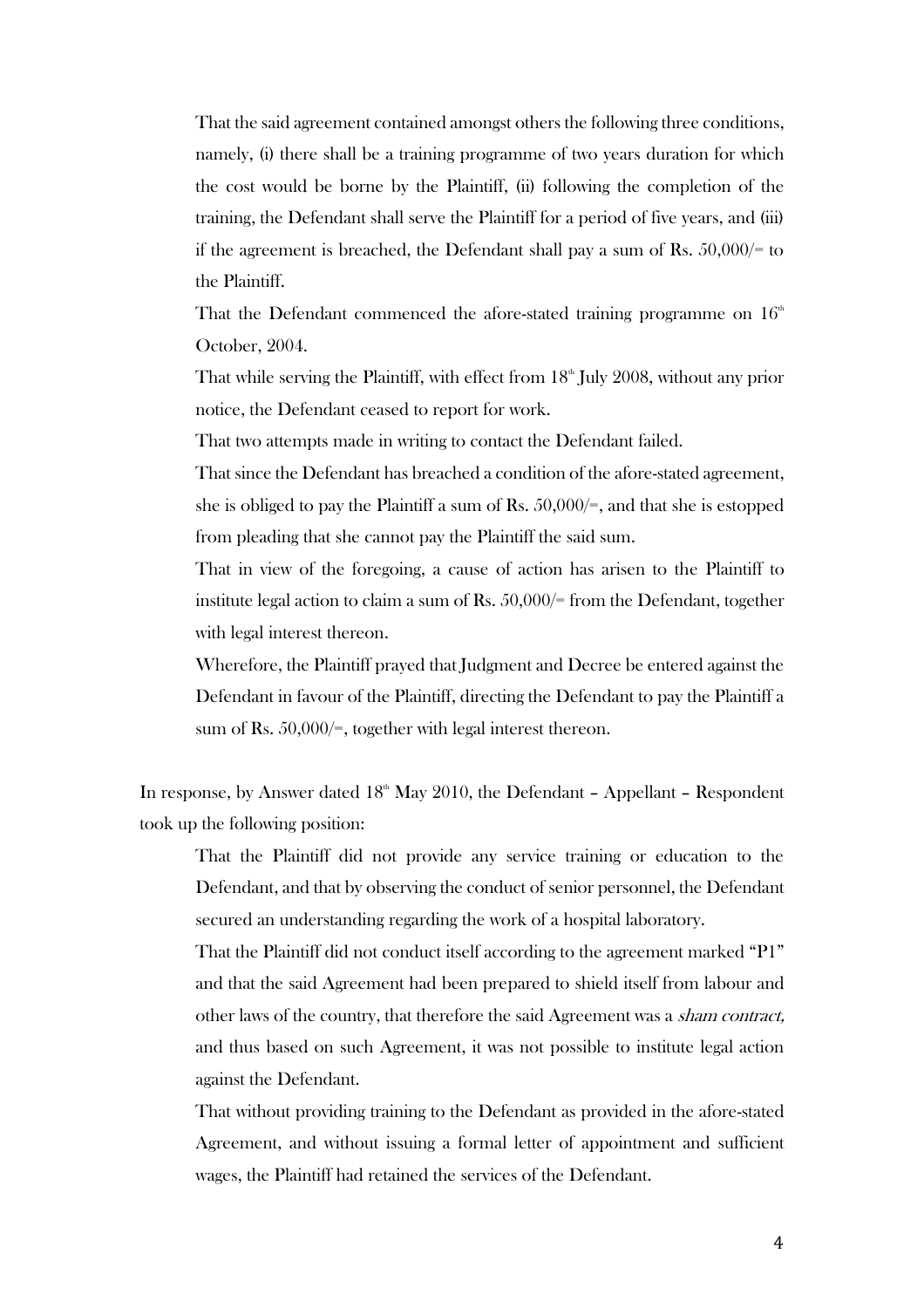That the said agreement contained amongst others the following three conditions, namely, (i) there shall be a training programme of two years duration for which the cost would be borne by the Plaintiff, (ii) following the completion of the training, the Defendant shall serve the Plaintiff for a period of five years, and (iii) if the agreement is breached, the Defendant shall pay a sum of Rs.  $50,000/$ = to the Plaintiff.

That the Defendant commenced the afore-stated training programme on  $16<sup>th</sup>$ October, 2004.

That while serving the Plaintiff, with effect from  $18<sup>th</sup>$  July 2008, without any prior notice, the Defendant ceased to report for work.

That two attempts made in writing to contact the Defendant failed.

That since the Defendant has breached a condition of the afore-stated agreement, she is obliged to pay the Plaintiff a sum of Rs.  $50,000/=$ , and that she is estopped from pleading that she cannot pay the Plaintiff the said sum.

That in view of the foregoing, a cause of action has arisen to the Plaintiff to institute legal action to claim a sum of Rs.  $50,000/$ = from the Defendant, together with legal interest thereon.

Wherefore, the Plaintiff prayed that Judgment and Decree be entered against the Defendant in favour of the Plaintiff, directing the Defendant to pay the Plaintiff a sum of Rs. 50,000/=, together with legal interest thereon.

In response, by Answer dated  $18<sup>th</sup>$  May 2010, the Defendant – Appellant – Respondent took up the following position:

That the Plaintiff did not provide any service training or education to the Defendant, and that by observing the conduct of senior personnel, the Defendant secured an understanding regarding the work of a hospital laboratory.

That the Plaintiff did not conduct itself according to the agreement marked "P1" and that the said Agreement had been prepared to shield itself from labour and other laws of the country, that therefore the said Agreement was a sham contract, and thus based on such Agreement, it was not possible to institute legal action against the Defendant.

That without providing training to the Defendant as provided in the afore-stated Agreement, and without issuing a formal letter of appointment and sufficient wages, the Plaintiff had retained the services of the Defendant.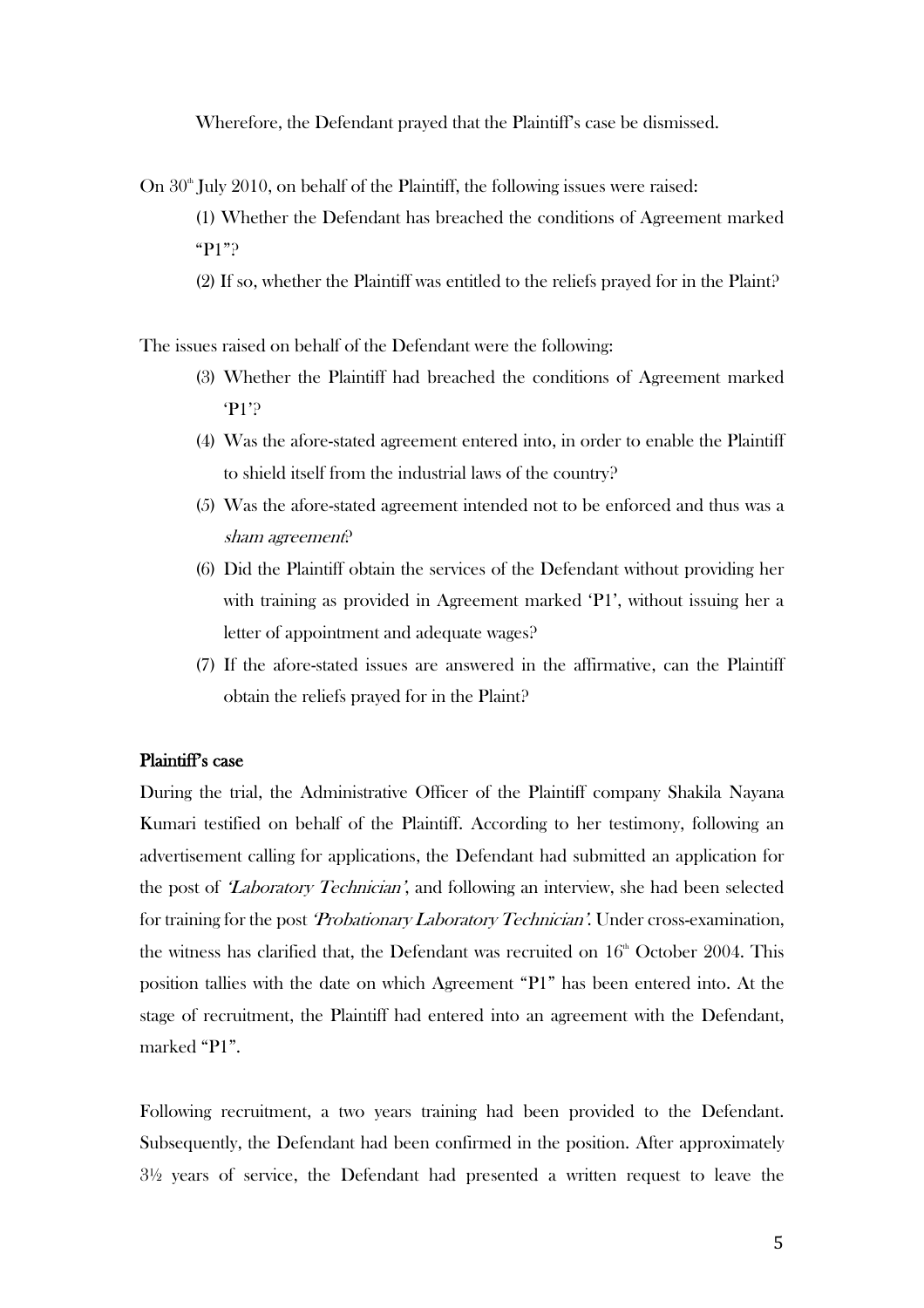Wherefore, the Defendant prayed that the Plaintiff's case be dismissed.

On  $30<sup>th</sup>$  July 2010, on behalf of the Plaintiff, the following issues were raised:

(1) Whether the Defendant has breached the conditions of Agreement marked "P1"?

(2) If so, whether the Plaintiff was entitled to the reliefs prayed for in the Plaint?

The issues raised on behalf of the Defendant were the following:

- (3) Whether the Plaintiff had breached the conditions of Agreement marked 'P1'?
- (4) Was the afore-stated agreement entered into, in order to enable the Plaintiff to shield itself from the industrial laws of the country?
- (5) Was the afore-stated agreement intended not to be enforced and thus was a sham agreement?
- (6) Did the Plaintiff obtain the services of the Defendant without providing her with training as provided in Agreement marked 'P1', without issuing her a letter of appointment and adequate wages?
- (7) If the afore-stated issues are answered in the affirmative, can the Plaintiff obtain the reliefs prayed for in the Plaint?

#### Plaintiff's case

During the trial, the Administrative Officer of the Plaintiff company Shakila Nayana Kumari testified on behalf of the Plaintiff. According to her testimony, following an advertisement calling for applications, the Defendant had submitted an application for the post of 'Laboratory Technician', and following an interview, she had been selected for training for the post *Probationary Laboratory Technician'*. Under cross-examination, the witness has clarified that, the Defendant was recruited on  $16<sup>th</sup>$  October 2004. This position tallies with the date on which Agreement "P1" has been entered into. At the stage of recruitment, the Plaintiff had entered into an agreement with the Defendant, marked "P1".

Following recruitment, a two years training had been provided to the Defendant. Subsequently, the Defendant had been confirmed in the position. After approximately 3½ years of service, the Defendant had presented a written request to leave the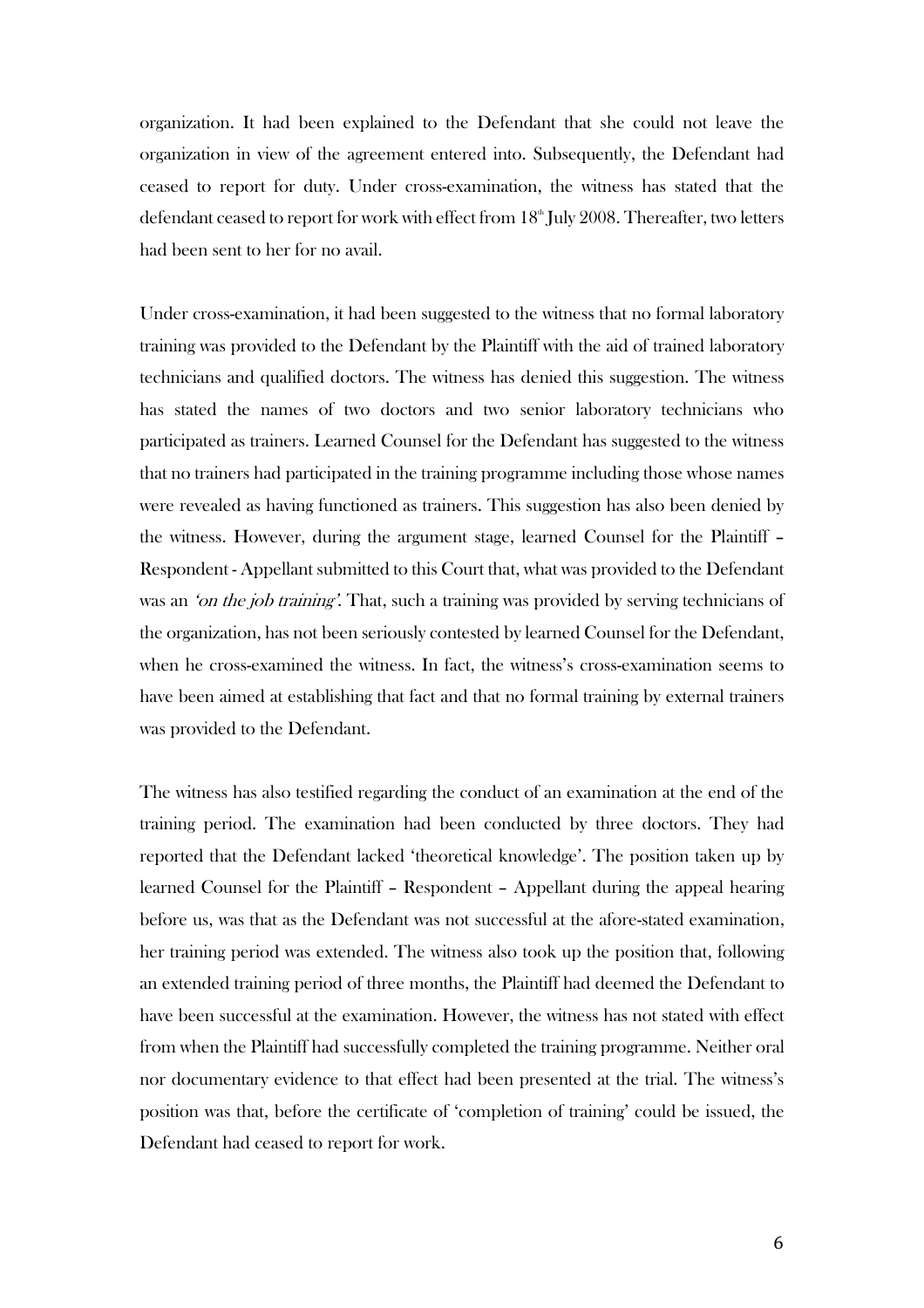organization. It had been explained to the Defendant that she could not leave the organization in view of the agreement entered into. Subsequently, the Defendant had ceased to report for duty. Under cross-examination, the witness has stated that the defendant ceased to report for work with effect from  $18^{\text{\tiny th}}$  July 2008. Thereafter, two letters had been sent to her for no avail.

Under cross-examination, it had been suggested to the witness that no formal laboratory training was provided to the Defendant by the Plaintiff with the aid of trained laboratory technicians and qualified doctors. The witness has denied this suggestion. The witness has stated the names of two doctors and two senior laboratory technicians who participated as trainers. Learned Counsel for the Defendant has suggested to the witness that no trainers had participated in the training programme including those whose names were revealed as having functioned as trainers. This suggestion has also been denied by the witness. However, during the argument stage, learned Counsel for the Plaintiff – Respondent - Appellant submitted to this Court that, what was provided to the Defendant was an 'on the job training'. That, such a training was provided by serving technicians of the organization, has not been seriously contested by learned Counsel for the Defendant, when he cross-examined the witness. In fact, the witness's cross-examination seems to have been aimed at establishing that fact and that no formal training by external trainers was provided to the Defendant.

The witness has also testified regarding the conduct of an examination at the end of the training period. The examination had been conducted by three doctors. They had reported that the Defendant lacked 'theoretical knowledge'. The position taken up by learned Counsel for the Plaintiff – Respondent – Appellant during the appeal hearing before us, was that as the Defendant was not successful at the afore-stated examination, her training period was extended. The witness also took up the position that, following an extended training period of three months, the Plaintiff had deemed the Defendant to have been successful at the examination. However, the witness has not stated with effect from when the Plaintiff had successfully completed the training programme. Neither oral nor documentary evidence to that effect had been presented at the trial. The witness's position was that, before the certificate of 'completion of training' could be issued, the Defendant had ceased to report for work.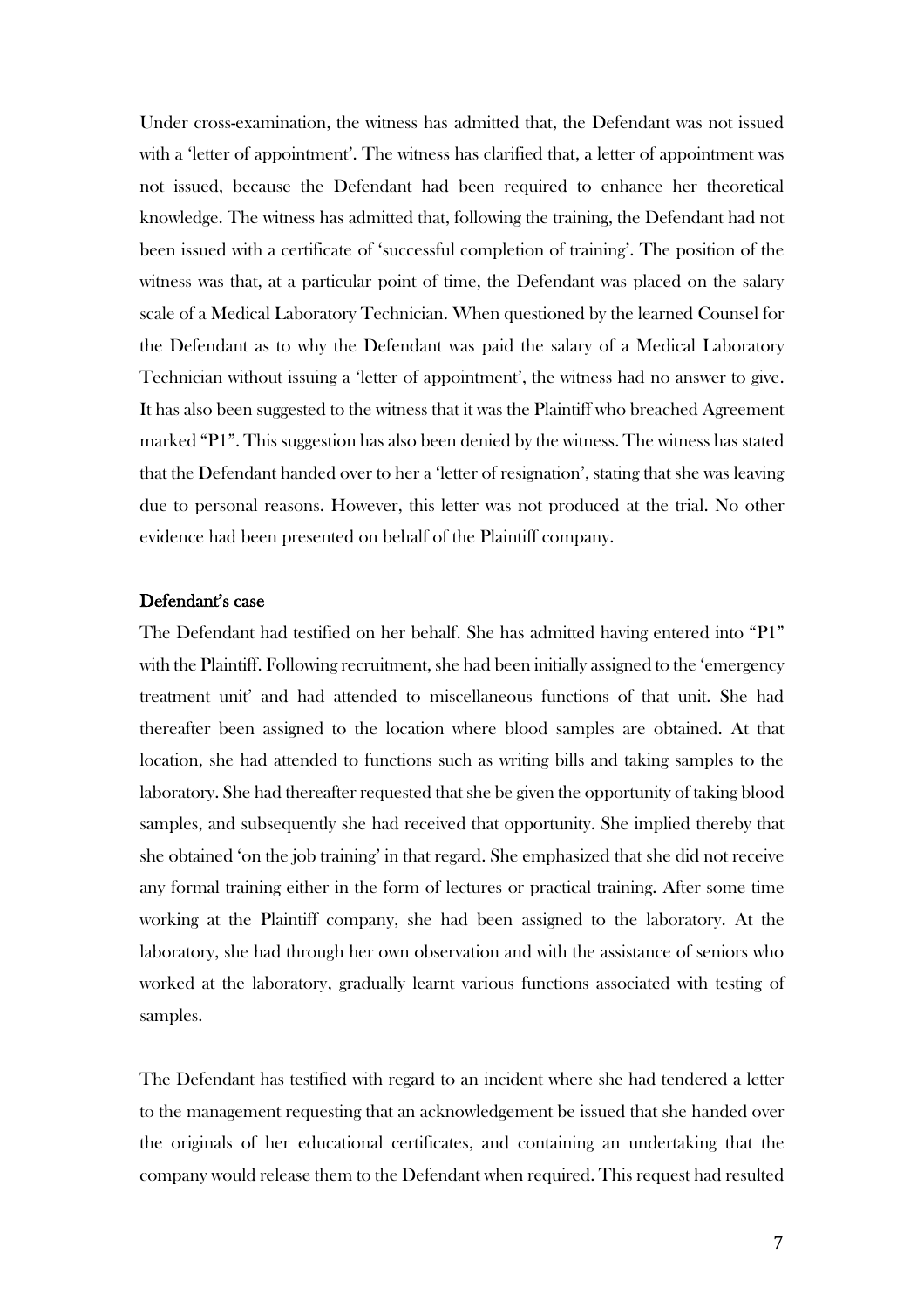Under cross-examination, the witness has admitted that, the Defendant was not issued with a 'letter of appointment'. The witness has clarified that, a letter of appointment was not issued, because the Defendant had been required to enhance her theoretical knowledge. The witness has admitted that, following the training, the Defendant had not been issued with a certificate of 'successful completion of training'. The position of the witness was that, at a particular point of time, the Defendant was placed on the salary scale of a Medical Laboratory Technician. When questioned by the learned Counsel for the Defendant as to why the Defendant was paid the salary of a Medical Laboratory Technician without issuing a 'letter of appointment', the witness had no answer to give. It has also been suggested to the witness that it was the Plaintiff who breached Agreement marked "P1". This suggestion has also been denied by the witness. The witness has stated that the Defendant handed over to her a 'letter of resignation', stating that she was leaving due to personal reasons. However, this letter was not produced at the trial. No other evidence had been presented on behalf of the Plaintiff company.

#### Defendant's case

The Defendant had testified on her behalf. She has admitted having entered into "P1" with the Plaintiff. Following recruitment, she had been initially assigned to the 'emergency treatment unit' and had attended to miscellaneous functions of that unit. She had thereafter been assigned to the location where blood samples are obtained. At that location, she had attended to functions such as writing bills and taking samples to the laboratory. She had thereafter requested that she be given the opportunity of taking blood samples, and subsequently she had received that opportunity. She implied thereby that she obtained 'on the job training' in that regard. She emphasized that she did not receive any formal training either in the form of lectures or practical training. After some time working at the Plaintiff company, she had been assigned to the laboratory. At the laboratory, she had through her own observation and with the assistance of seniors who worked at the laboratory, gradually learnt various functions associated with testing of samples.

The Defendant has testified with regard to an incident where she had tendered a letter to the management requesting that an acknowledgement be issued that she handed over the originals of her educational certificates, and containing an undertaking that the company would release them to the Defendant when required. This request had resulted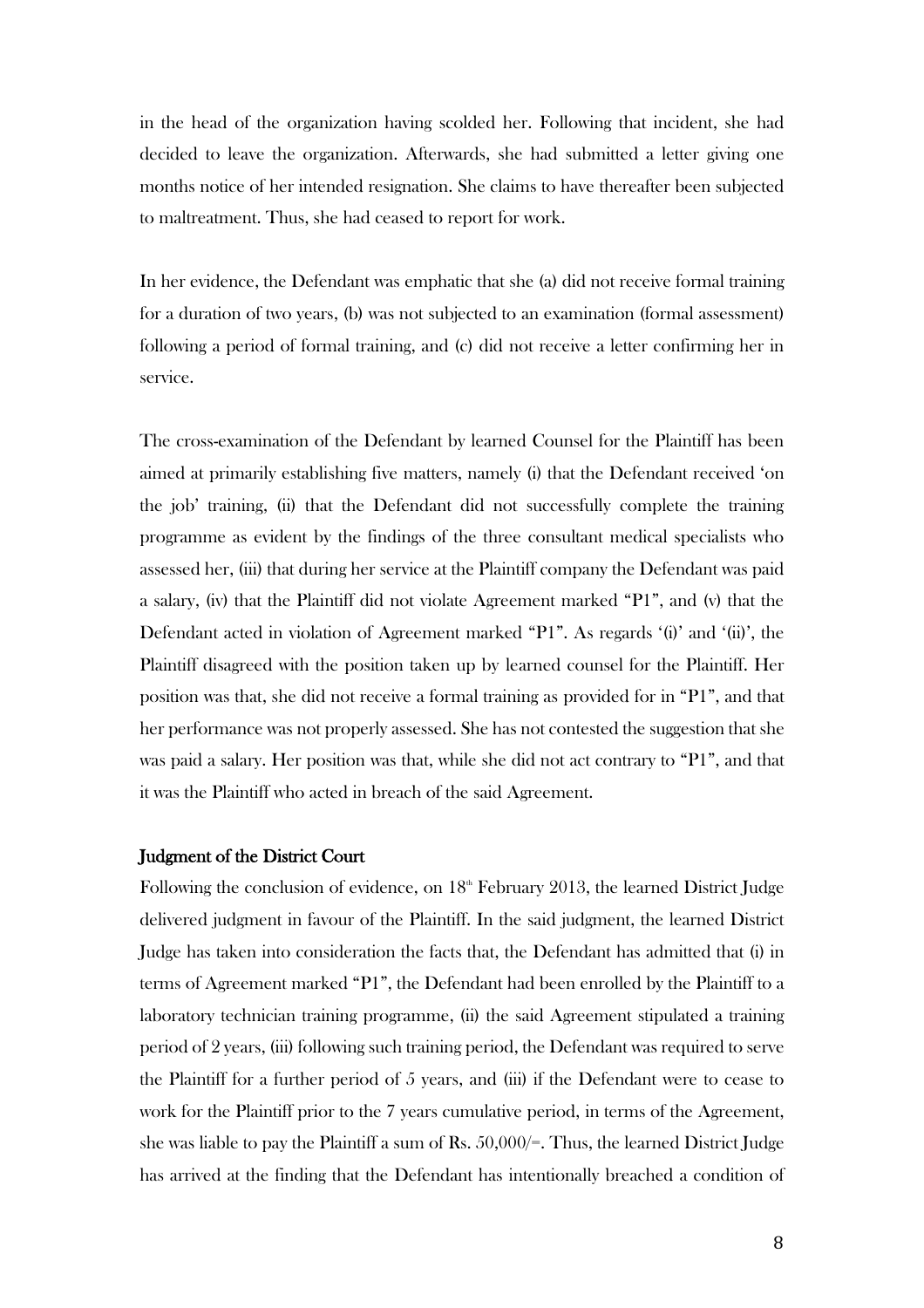in the head of the organization having scolded her. Following that incident, she had decided to leave the organization. Afterwards, she had submitted a letter giving one months notice of her intended resignation. She claims to have thereafter been subjected to maltreatment. Thus, she had ceased to report for work.

In her evidence, the Defendant was emphatic that she (a) did not receive formal training for a duration of two years, (b) was not subjected to an examination (formal assessment) following a period of formal training, and (c) did not receive a letter confirming her in service.

The cross-examination of the Defendant by learned Counsel for the Plaintiff has been aimed at primarily establishing five matters, namely (i) that the Defendant received 'on the job' training, (ii) that the Defendant did not successfully complete the training programme as evident by the findings of the three consultant medical specialists who assessed her, (iii) that during her service at the Plaintiff company the Defendant was paid a salary, (iv) that the Plaintiff did not violate Agreement marked "P1", and (v) that the Defendant acted in violation of Agreement marked "P1". As regards '(i)' and '(ii)', the Plaintiff disagreed with the position taken up by learned counsel for the Plaintiff. Her position was that, she did not receive a formal training as provided for in "P1", and that her performance was not properly assessed. She has not contested the suggestion that she was paid a salary. Her position was that, while she did not act contrary to "P1", and that it was the Plaintiff who acted in breach of the said Agreement.

#### Judgment of the District Court

Following the conclusion of evidence, on  $18<sup>th</sup>$  February 2013, the learned District Judge delivered judgment in favour of the Plaintiff. In the said judgment, the learned District Judge has taken into consideration the facts that, the Defendant has admitted that (i) in terms of Agreement marked "P1", the Defendant had been enrolled by the Plaintiff to a laboratory technician training programme, (ii) the said Agreement stipulated a training period of 2 years, (iii) following such training period, the Defendant was required to serve the Plaintiff for a further period of 5 years, and (iii) if the Defendant were to cease to work for the Plaintiff prior to the 7 years cumulative period, in terms of the Agreement, she was liable to pay the Plaintiff a sum of Rs. 50,000/=. Thus, the learned District Judge has arrived at the finding that the Defendant has intentionally breached a condition of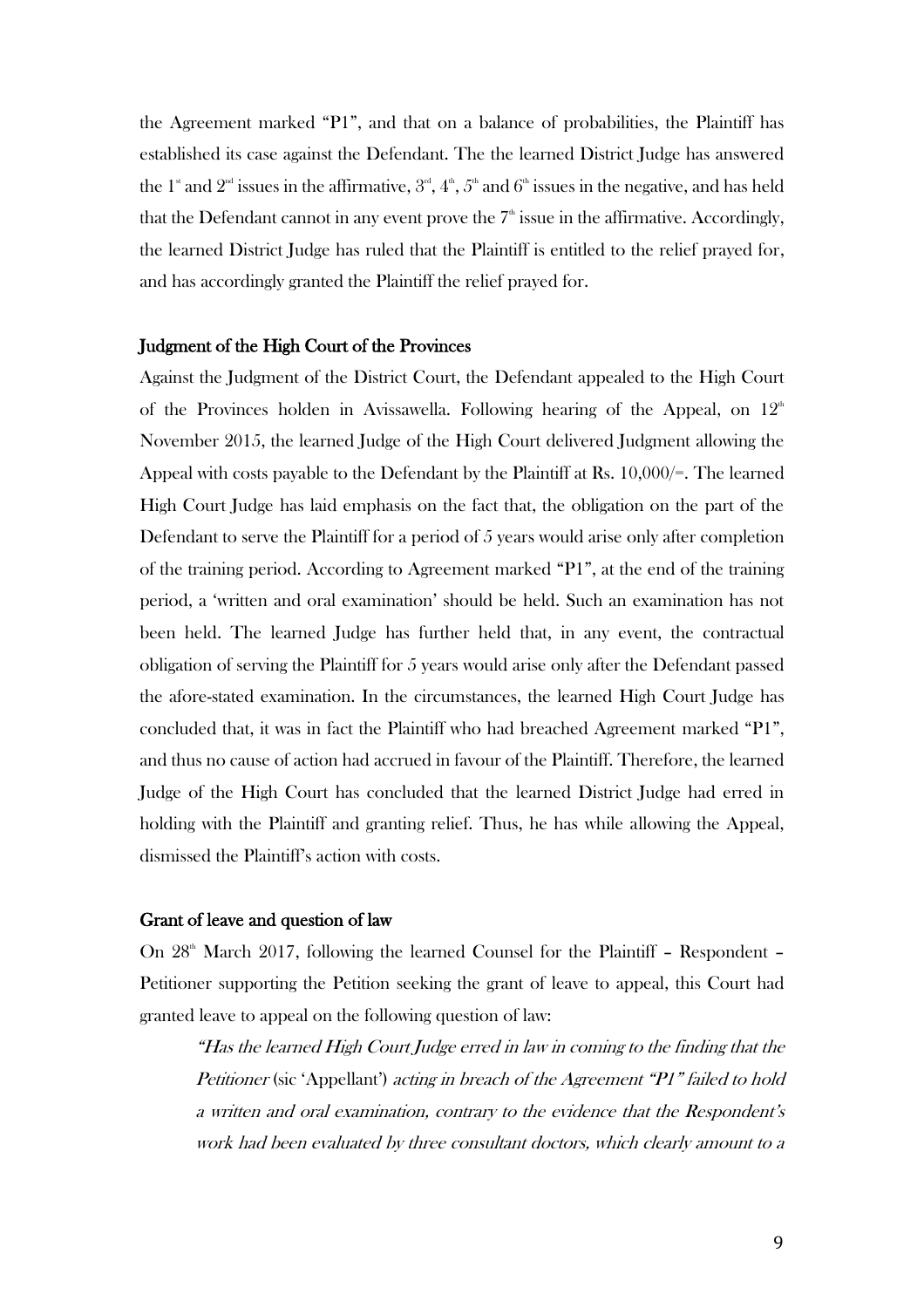the Agreement marked "P1", and that on a balance of probabilities, the Plaintiff has established its case against the Defendant. The the learned District Judge has answered the  $1^{\text{\tiny{*}}}$  and  $2^{\text{\tiny{nd}}}$  issues in the affirmative,  $3^{\text{\tiny{rd}}}, 4^{\text{\tiny{th}}}, 5^{\text{\tiny{th}}}$  and  $6^{\text{\tiny{th}}}$  issues in the negative, and has held that the Defendant cannot in any event prove the  $7<sup>th</sup>$  issue in the affirmative. Accordingly, the learned District Judge has ruled that the Plaintiff is entitled to the relief prayed for, and has accordingly granted the Plaintiff the relief prayed for.

#### Judgment of the High Court of the Provinces

Against the Judgment of the District Court, the Defendant appealed to the High Court of the Provinces holden in Avissawella. Following hearing of the Appeal, on  $12<sup>th</sup>$ November 2015, the learned Judge of the High Court delivered Judgment allowing the Appeal with costs payable to the Defendant by the Plaintiff at Rs. 10,000/=. The learned High Court Judge has laid emphasis on the fact that, the obligation on the part of the Defendant to serve the Plaintiff for a period of 5 years would arise only after completion of the training period. According to Agreement marked "P1", at the end of the training period, a 'written and oral examination' should be held. Such an examination has not been held. The learned Judge has further held that, in any event, the contractual obligation of serving the Plaintiff for 5 years would arise only after the Defendant passed the afore-stated examination. In the circumstances, the learned High Court Judge has concluded that, it was in fact the Plaintiff who had breached Agreement marked "P1", and thus no cause of action had accrued in favour of the Plaintiff. Therefore, the learned Judge of the High Court has concluded that the learned District Judge had erred in holding with the Plaintiff and granting relief. Thus, he has while allowing the Appeal, dismissed the Plaintiff's action with costs.

#### Grant of leave and question of law

On  $28<sup>th</sup>$  March 2017, following the learned Counsel for the Plaintiff – Respondent – Petitioner supporting the Petition seeking the grant of leave to appeal, this Court had granted leave to appeal on the following question of law:

"Has the learned High Court Judge erred in law in coming to the finding that the Petitioner (sic 'Appellant') acting in breach of the Agreement "P1" failed to hold a written and oral examination, contrary to the evidence that the Respondent's work had been evaluated by three consultant doctors, which clearly amount to a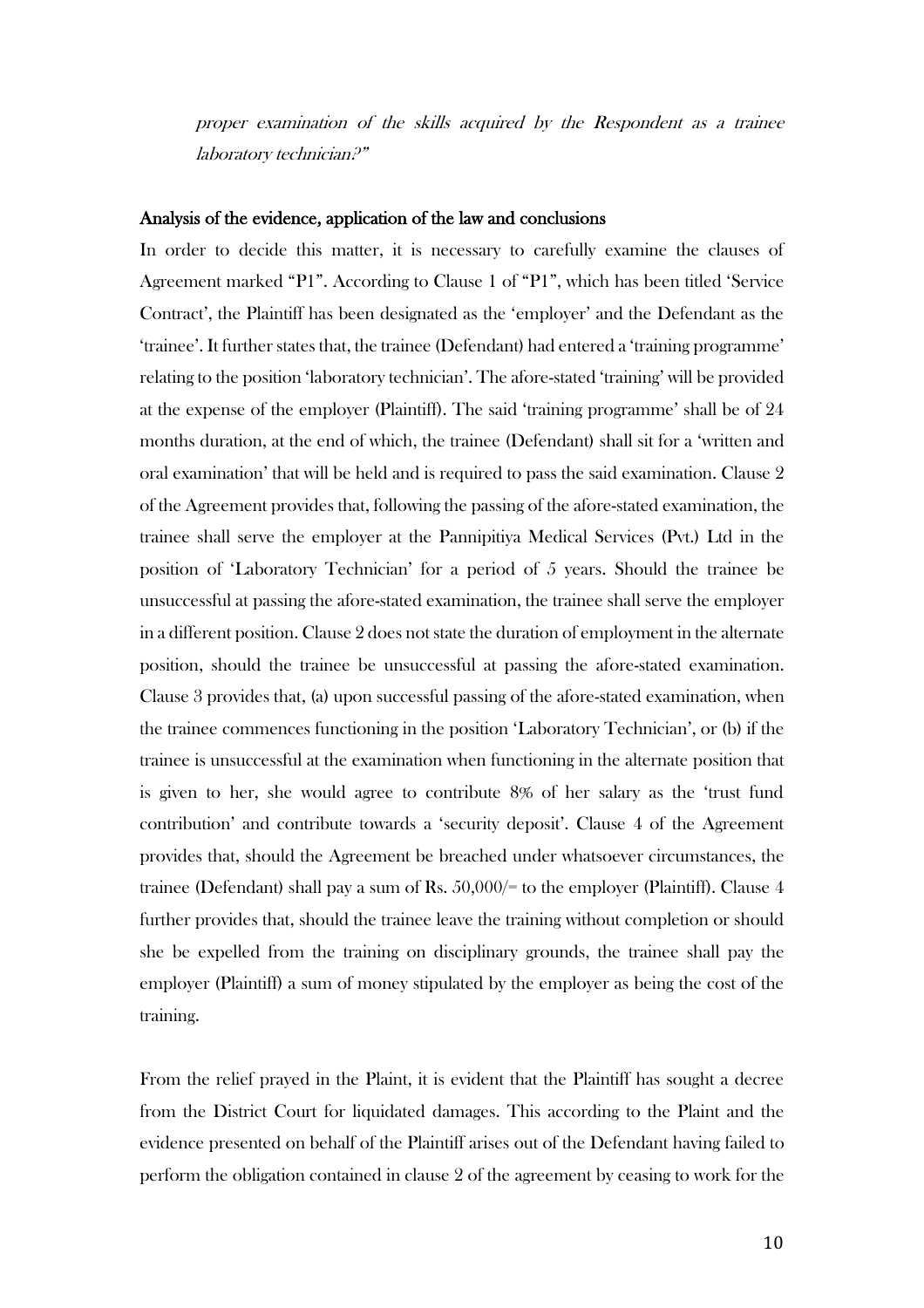proper examination of the skills acquired by the Respondent as a trainee laboratory technician?"

#### Analysis of the evidence, application of the law and conclusions

In order to decide this matter, it is necessary to carefully examine the clauses of Agreement marked "P1". According to Clause 1 of "P1", which has been titled 'Service Contract', the Plaintiff has been designated as the 'employer' and the Defendant as the 'trainee'. It further states that, the trainee (Defendant) had entered a 'training programme' relating to the position 'laboratory technician'. The afore-stated 'training' will be provided at the expense of the employer (Plaintiff). The said 'training programme' shall be of 24 months duration, at the end of which, the trainee (Defendant) shall sit for a 'written and oral examination' that will be held and is required to pass the said examination. Clause 2 of the Agreement provides that, following the passing of the afore-stated examination, the trainee shall serve the employer at the Pannipitiya Medical Services (Pvt.) Ltd in the position of 'Laboratory Technician' for a period of 5 years. Should the trainee be unsuccessful at passing the afore-stated examination, the trainee shall serve the employer in a different position. Clause 2 does not state the duration of employment in the alternate position, should the trainee be unsuccessful at passing the afore-stated examination. Clause 3 provides that, (a) upon successful passing of the afore-stated examination, when the trainee commences functioning in the position 'Laboratory Technician', or (b) if the trainee is unsuccessful at the examination when functioning in the alternate position that is given to her, she would agree to contribute 8% of her salary as the 'trust fund contribution' and contribute towards a 'security deposit'. Clause 4 of the Agreement provides that, should the Agreement be breached under whatsoever circumstances, the trainee (Defendant) shall pay a sum of Rs. 50,000/= to the employer (Plaintiff). Clause 4 further provides that, should the trainee leave the training without completion or should she be expelled from the training on disciplinary grounds, the trainee shall pay the employer (Plaintiff) a sum of money stipulated by the employer as being the cost of the training.

From the relief prayed in the Plaint, it is evident that the Plaintiff has sought a decree from the District Court for liquidated damages. This according to the Plaint and the evidence presented on behalf of the Plaintiff arises out of the Defendant having failed to perform the obligation contained in clause 2 of the agreement by ceasing to work for the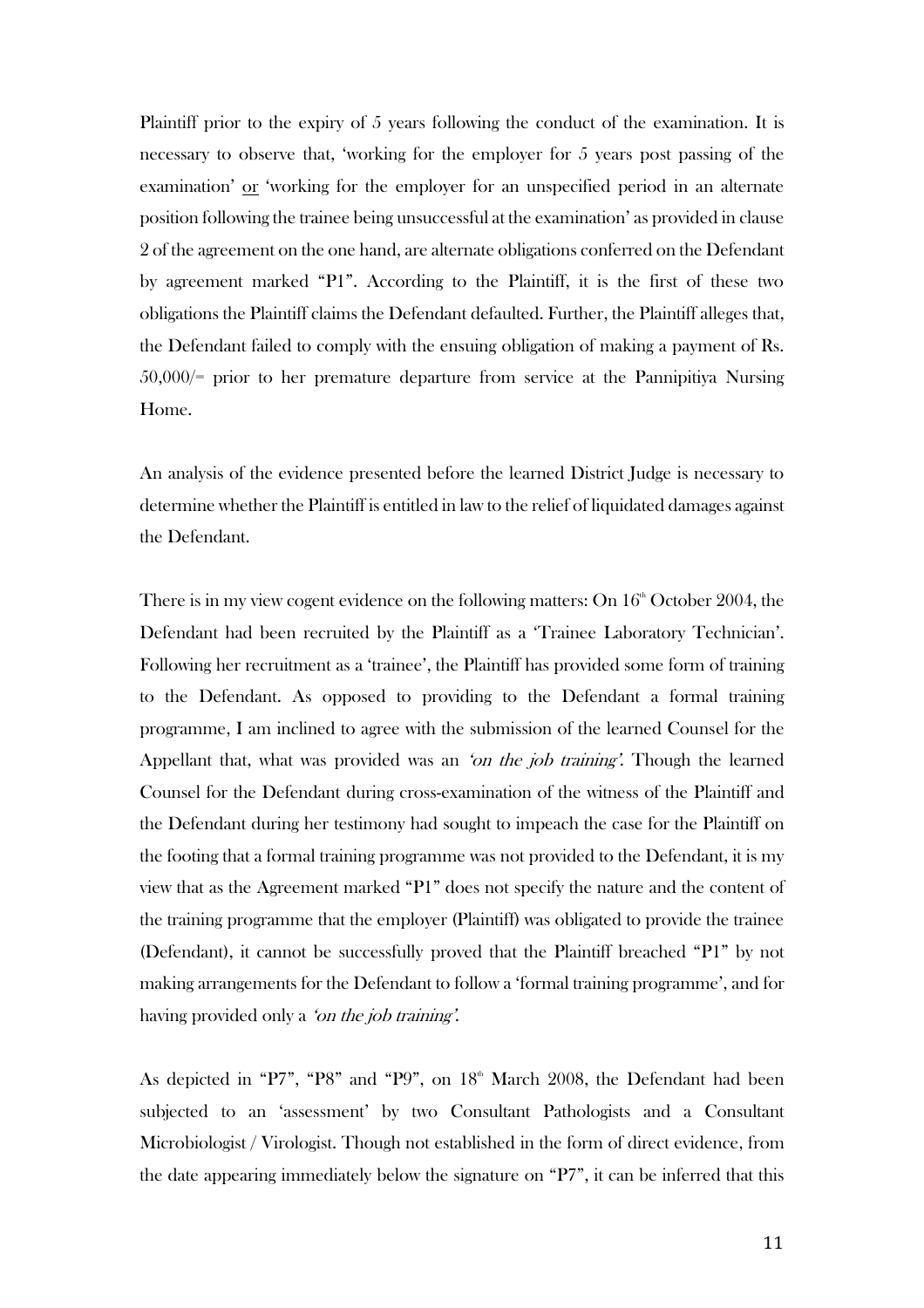Plaintiff prior to the expiry of 5 years following the conduct of the examination. It is necessary to observe that, 'working for the employer for 5 years post passing of the examination' or 'working for the employer for an unspecified period in an alternate position following the trainee being unsuccessful at the examination' as provided in clause 2 of the agreement on the one hand, are alternate obligations conferred on the Defendant by agreement marked "P1". According to the Plaintiff, it is the first of these two obligations the Plaintiff claims the Defendant defaulted. Further, the Plaintiff alleges that, the Defendant failed to comply with the ensuing obligation of making a payment of Rs. 50,000/= prior to her premature departure from service at the Pannipitiya Nursing Home.

An analysis of the evidence presented before the learned District Judge is necessary to determine whether the Plaintiff is entitled in law to the relief of liquidated damages against the Defendant.

There is in my view cogent evidence on the following matters: On  $16<sup>th</sup>$  October 2004, the Defendant had been recruited by the Plaintiff as a 'Trainee Laboratory Technician'. Following her recruitment as a 'trainee', the Plaintiff has provided some form of training to the Defendant. As opposed to providing to the Defendant a formal training programme, I am inclined to agree with the submission of the learned Counsel for the Appellant that, what was provided was an 'on the job training'. Though the learned Counsel for the Defendant during cross-examination of the witness of the Plaintiff and the Defendant during her testimony had sought to impeach the case for the Plaintiff on the footing that a formal training programme was not provided to the Defendant, it is my view that as the Agreement marked "P1" does not specify the nature and the content of the training programme that the employer (Plaintiff) was obligated to provide the trainee (Defendant), it cannot be successfully proved that the Plaintiff breached "P1" by not making arrangements for the Defendant to follow a 'formal training programme', and for having provided only a *'on the job training'*.

As depicted in "P7", "P8" and "P9", on  $18<sup>th</sup>$  March 2008, the Defendant had been subjected to an 'assessment' by two Consultant Pathologists and a Consultant Microbiologist / Virologist. Though not established in the form of direct evidence, from the date appearing immediately below the signature on "P7", it can be inferred that this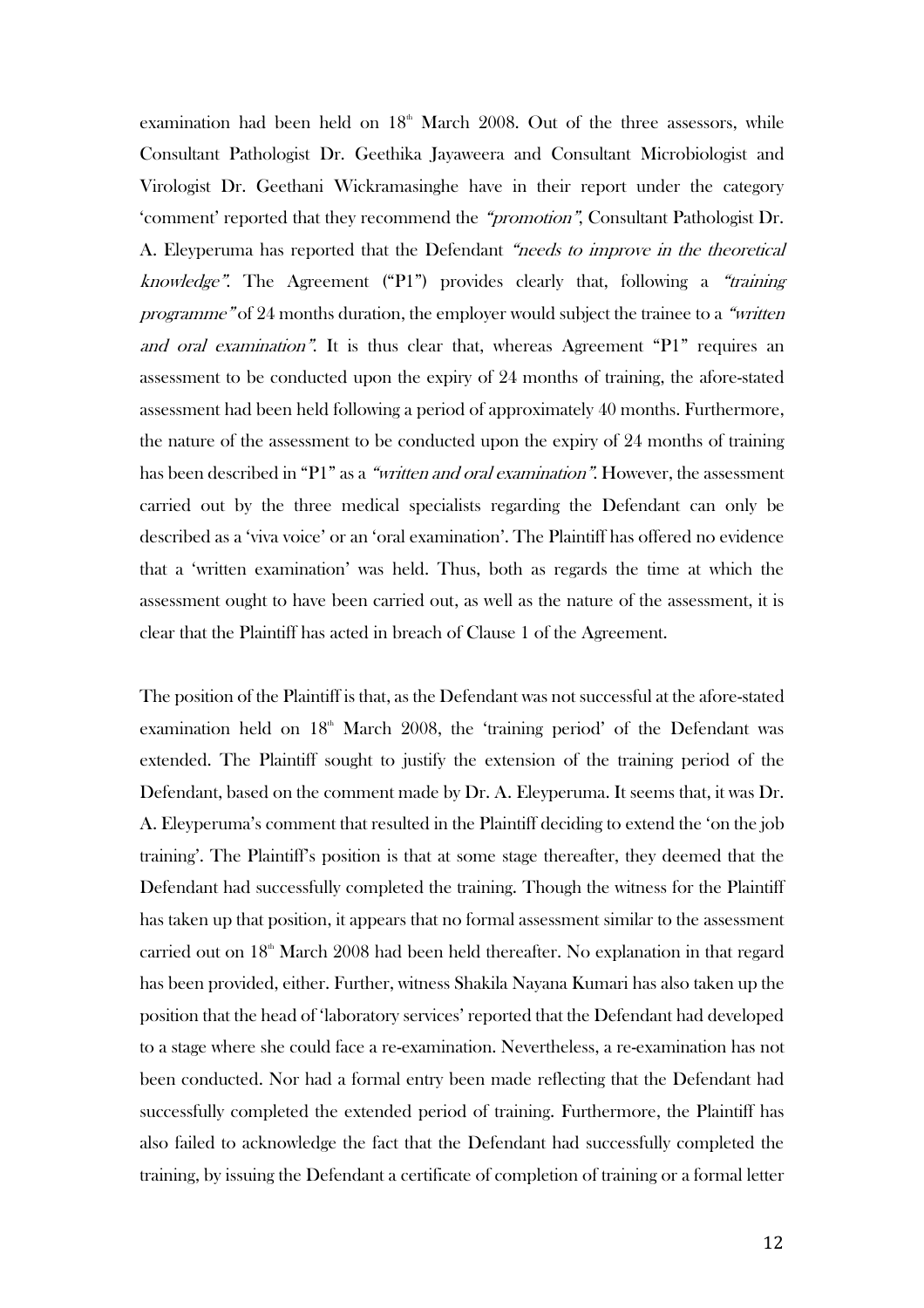examination had been held on  $18<sup>th</sup>$  March 2008. Out of the three assessors, while Consultant Pathologist Dr. Geethika Jayaweera and Consultant Microbiologist and Virologist Dr. Geethani Wickramasinghe have in their report under the category 'comment' reported that they recommend the "promotion", Consultant Pathologist Dr. A. Eleyperuma has reported that the Defendant "needs to improve in the theoretical knowledge". The Agreement ("P1") provides clearly that, following a "training programme" of 24 months duration, the employer would subject the trainee to a "written and oral examination". It is thus clear that, whereas Agreement "P1" requires an assessment to be conducted upon the expiry of 24 months of training, the afore-stated assessment had been held following a period of approximately 40 months. Furthermore, the nature of the assessment to be conducted upon the expiry of 24 months of training has been described in "P1" as a "written and oral examination". However, the assessment carried out by the three medical specialists regarding the Defendant can only be described as a 'viva voice' or an 'oral examination'. The Plaintiff has offered no evidence that a 'written examination' was held. Thus, both as regards the time at which the assessment ought to have been carried out, as well as the nature of the assessment, it is clear that the Plaintiff has acted in breach of Clause 1 of the Agreement.

The position of the Plaintiff is that, as the Defendant was not successful at the afore-stated examination held on  $18<sup>th</sup>$  March 2008, the 'training period' of the Defendant was extended. The Plaintiff sought to justify the extension of the training period of the Defendant, based on the comment made by Dr. A. Eleyperuma. It seems that, it was Dr. A. Eleyperuma's comment that resulted in the Plaintiff deciding to extend the 'on the job training'. The Plaintiff's position is that at some stage thereafter, they deemed that the Defendant had successfully completed the training. Though the witness for the Plaintiff has taken up that position, it appears that no formal assessment similar to the assessment carried out on  $18<sup>th</sup>$  March 2008 had been held thereafter. No explanation in that regard has been provided, either. Further, witness Shakila Nayana Kumari has also taken up the position that the head of 'laboratory services' reported that the Defendant had developed to a stage where she could face a re-examination. Nevertheless, a re-examination has not been conducted. Nor had a formal entry been made reflecting that the Defendant had successfully completed the extended period of training. Furthermore, the Plaintiff has also failed to acknowledge the fact that the Defendant had successfully completed the training, by issuing the Defendant a certificate of completion of training or a formal letter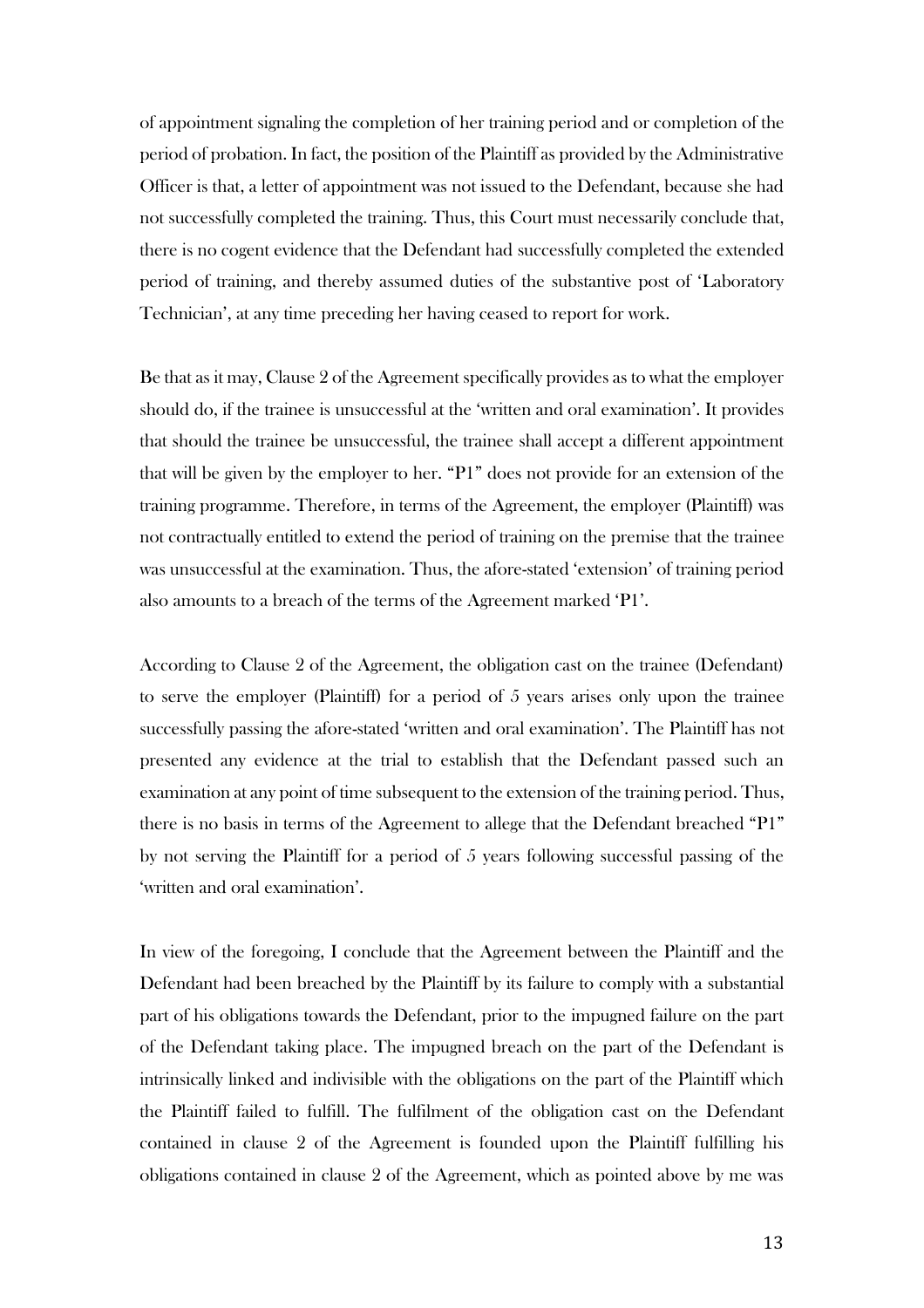of appointment signaling the completion of her training period and or completion of the period of probation. In fact, the position of the Plaintiff as provided by the Administrative Officer is that, a letter of appointment was not issued to the Defendant, because she had not successfully completed the training. Thus, this Court must necessarily conclude that, there is no cogent evidence that the Defendant had successfully completed the extended period of training, and thereby assumed duties of the substantive post of 'Laboratory Technician', at any time preceding her having ceased to report for work.

Be that as it may, Clause 2 of the Agreement specifically provides as to what the employer should do, if the trainee is unsuccessful at the 'written and oral examination'. It provides that should the trainee be unsuccessful, the trainee shall accept a different appointment that will be given by the employer to her. "P1" does not provide for an extension of the training programme. Therefore, in terms of the Agreement, the employer (Plaintiff) was not contractually entitled to extend the period of training on the premise that the trainee was unsuccessful at the examination. Thus, the afore-stated 'extension' of training period also amounts to a breach of the terms of the Agreement marked 'P1'.

According to Clause 2 of the Agreement, the obligation cast on the trainee (Defendant) to serve the employer (Plaintiff) for a period of 5 years arises only upon the trainee successfully passing the afore-stated 'written and oral examination'. The Plaintiff has not presented any evidence at the trial to establish that the Defendant passed such an examination at any point of time subsequent to the extension of the training period. Thus, there is no basis in terms of the Agreement to allege that the Defendant breached "P1" by not serving the Plaintiff for a period of 5 years following successful passing of the 'written and oral examination'.

In view of the foregoing, I conclude that the Agreement between the Plaintiff and the Defendant had been breached by the Plaintiff by its failure to comply with a substantial part of his obligations towards the Defendant, prior to the impugned failure on the part of the Defendant taking place. The impugned breach on the part of the Defendant is intrinsically linked and indivisible with the obligations on the part of the Plaintiff which the Plaintiff failed to fulfill. The fulfilment of the obligation cast on the Defendant contained in clause 2 of the Agreement is founded upon the Plaintiff fulfilling his obligations contained in clause 2 of the Agreement, which as pointed above by me was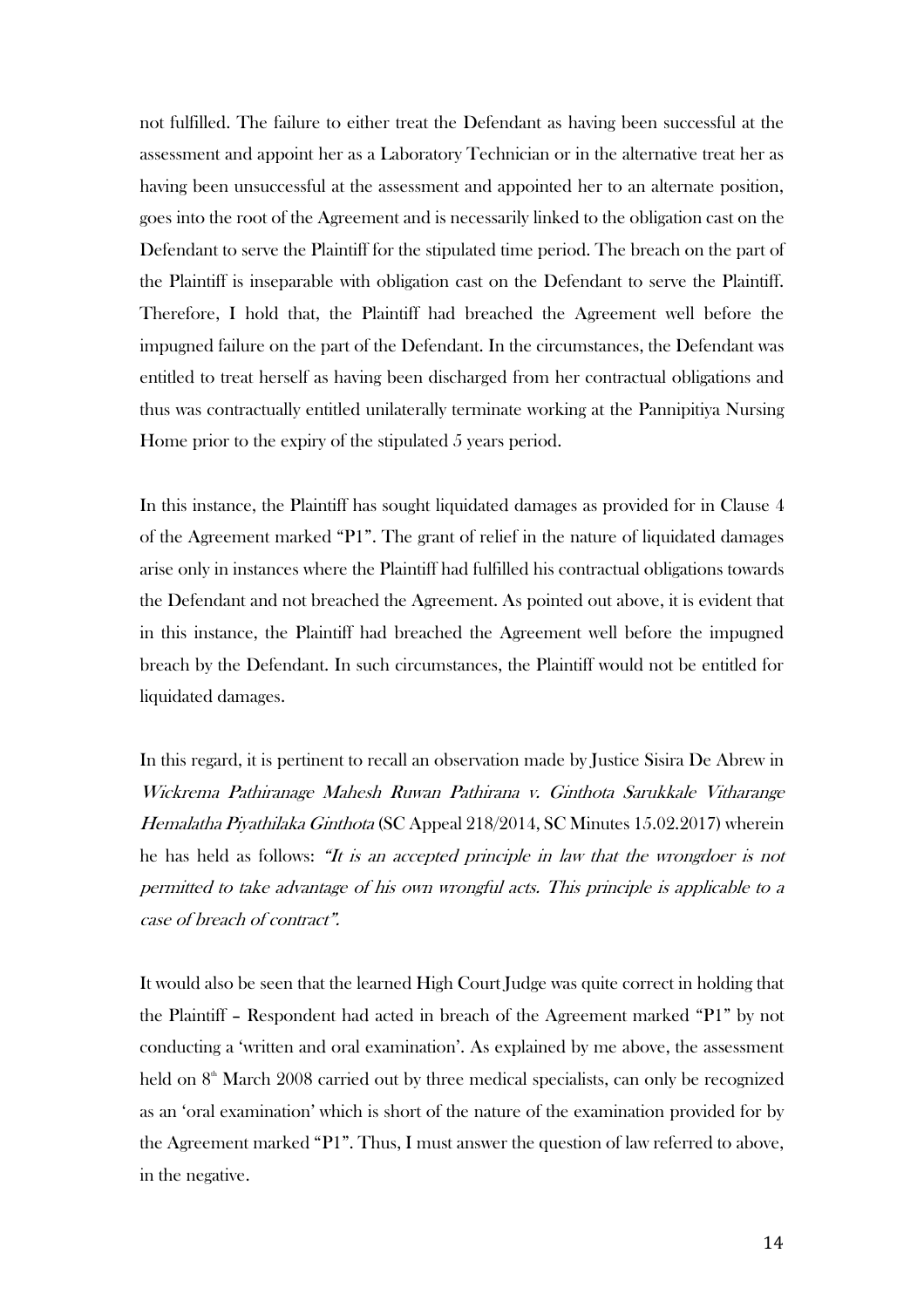not fulfilled. The failure to either treat the Defendant as having been successful at the assessment and appoint her as a Laboratory Technician or in the alternative treat her as having been unsuccessful at the assessment and appointed her to an alternate position, goes into the root of the Agreement and is necessarily linked to the obligation cast on the Defendant to serve the Plaintiff for the stipulated time period. The breach on the part of the Plaintiff is inseparable with obligation cast on the Defendant to serve the Plaintiff. Therefore, I hold that, the Plaintiff had breached the Agreement well before the impugned failure on the part of the Defendant. In the circumstances, the Defendant was entitled to treat herself as having been discharged from her contractual obligations and thus was contractually entitled unilaterally terminate working at the Pannipitiya Nursing Home prior to the expiry of the stipulated 5 years period.

In this instance, the Plaintiff has sought liquidated damages as provided for in Clause 4 of the Agreement marked "P1". The grant of relief in the nature of liquidated damages arise only in instances where the Plaintiff had fulfilled his contractual obligations towards the Defendant and not breached the Agreement. As pointed out above, it is evident that in this instance, the Plaintiff had breached the Agreement well before the impugned breach by the Defendant. In such circumstances, the Plaintiff would not be entitled for liquidated damages.

In this regard, it is pertinent to recall an observation made by Justice Sisira De Abrew in Wickrema Pathiranage Mahesh Ruwan Pathirana v. Ginthota Sarukkale Vitharange Hemalatha Piyathilaka Ginthota (SC Appeal 218/2014, SC Minutes 15.02.2017) wherein he has held as follows: "It is an accepted principle in law that the wrongdoer is not permitted to take advantage of his own wrongful acts. This principle is applicable to a case of breach of contract".

It would also be seen that the learned High Court Judge was quite correct in holding that the Plaintiff – Respondent had acted in breach of the Agreement marked "P1" by not conducting a 'written and oral examination'. As explained by me above, the assessment held on  $8<sup>th</sup>$  March 2008 carried out by three medical specialists, can only be recognized as an 'oral examination' which is short of the nature of the examination provided for by the Agreement marked "P1". Thus, I must answer the question of law referred to above, in the negative.